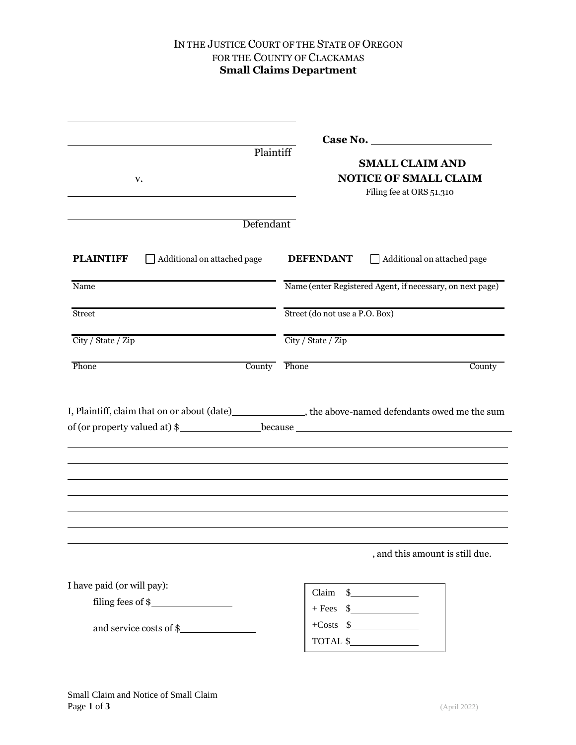### IN THE JUSTICE COURT OF THE STATE OF OREGON FOR THE COUNTY OF CLACKAMAS **Small Claims Department**

| Plaintiff                                                                            |                                                                                                                             |
|--------------------------------------------------------------------------------------|-----------------------------------------------------------------------------------------------------------------------------|
| v.                                                                                   | <b>SMALL CLAIM AND</b><br><b>NOTICE OF SMALL CLAIM</b>                                                                      |
|                                                                                      | Filing fee at ORS 51.310                                                                                                    |
|                                                                                      |                                                                                                                             |
| Defendant                                                                            |                                                                                                                             |
| Additional on attached page<br><b>PLAINTIFF</b>                                      | <b>DEFENDANT</b><br>Additional on attached page                                                                             |
| Name                                                                                 | Name (enter Registered Agent, if necessary, on next page)                                                                   |
| <b>Street</b>                                                                        | Street (do not use a P.O. Box)                                                                                              |
|                                                                                      |                                                                                                                             |
|                                                                                      | City / State / Zip                                                                                                          |
| County                                                                               | Phone<br>County<br>I, Plaintiff, claim that on or about (date)_________________, the above-named defendants owed me the sum |
|                                                                                      |                                                                                                                             |
|                                                                                      |                                                                                                                             |
|                                                                                      |                                                                                                                             |
|                                                                                      |                                                                                                                             |
|                                                                                      |                                                                                                                             |
|                                                                                      |                                                                                                                             |
|                                                                                      | _, and this amount is still due.                                                                                            |
|                                                                                      |                                                                                                                             |
|                                                                                      | $Claim $ $%$                                                                                                                |
| filling fees of \$                                                                   | $+$ Fees $\frac{1}{2}$                                                                                                      |
| City / State / Zip<br>Phone<br>I have paid (or will pay):<br>and service costs of \$ | $+Costs$ \$<br>$\begin{tabular}{c} \bf TOTAL $$\smallsetminus$ \end{tabular}$                                               |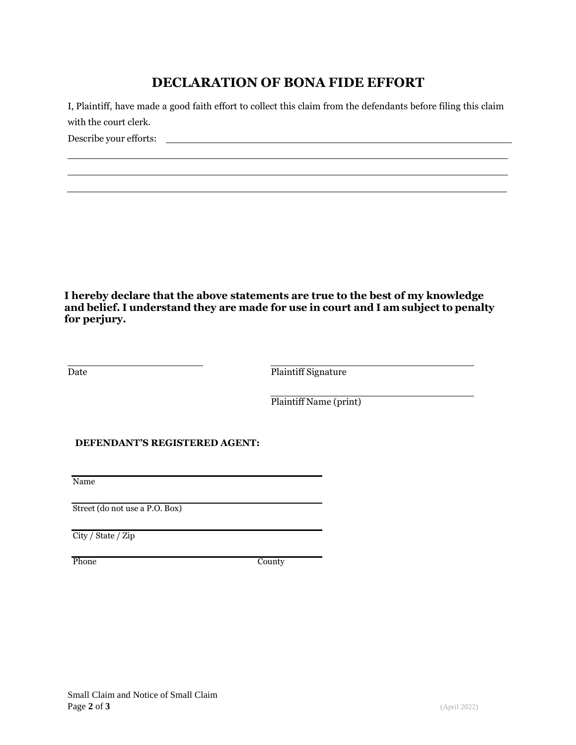# **DECLARATION OF BONA FIDE EFFORT**

I, Plaintiff, have made a good faith effort to collect this claim from the defendants before filing this claim with the court clerk. Describe your efforts:

**I hereby declare that the above statements are true to the best of my knowledge and belief. I understand they are made for use in court and I am subject to penalty for perjury.**

Date **Plaintiff Signature** 

Plaintiff Name (print)

#### **DEFENDANT'S REGISTERED AGENT:**

Name

Street (do not use a P.O. Box)

City / State / Zip

Phone County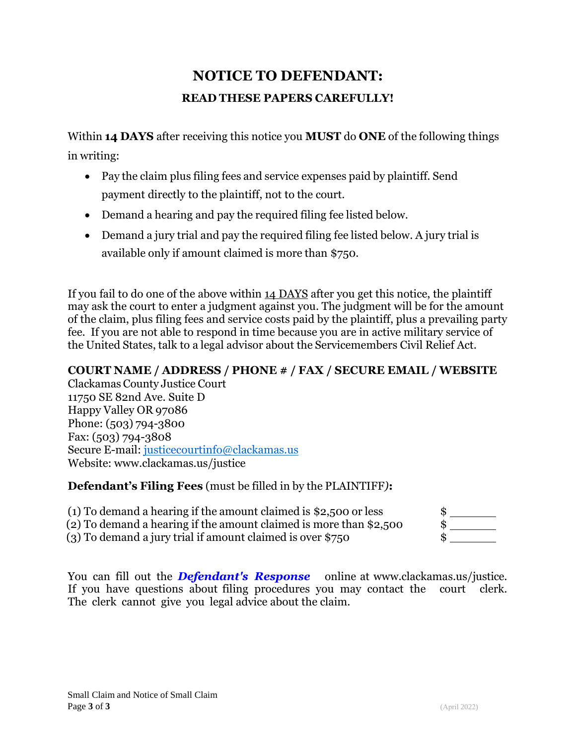# **NOTICE TO DEFENDANT: READ THESE PAPERS CAREFULLY!**

Within **14 DAYS** after receiving this notice you **MUST** do **ONE** of the following things in writing:

- Pay the claim plus filing fees and service expenses paid by plaintiff. Send payment directly to the plaintiff, not to the court.
- Demand a hearing and pay the required filing fee listed below.
- Demand a jury trial and pay the required filing fee listed below. A jury trial is available only if amount claimed is more than \$750.

If you fail to do one of the above within 14 DAYS after you get this notice, the plaintiff may ask the court to enter a judgment against you. The judgment will be for the amount of the claim, plus filing fees and service costs paid by the plaintiff, plus a prevailing party fee. If you are not able to respond in time because you are in active military service of the United States, talk to a legal advisor about the Servicemembers Civil Relief Act.

## **COURT NAME / ADDRESS / PHONE # / FAX / SECURE EMAIL / WEBSITE**

Clackamas County Justice Court 11750 SE 82nd Ave. Suite D Happy Valley OR 97086 Phone: (503) 794-3800 Fax: (503) 794-3808 Secure [E-mail:](mailto:JCCivilDivision@co.clackamas.or.us) justicecourtinfo@clackamas.us Website: [www.clackamas.us/justice](http://www.clackamas.us/justice)

### **Defendant's Filing Fees** (must be filled in by the PLAINTIFF*)***:**

(1) To demand a hearing if the amount claimed is \$2,500 or less  $$$  \$

(2) To demand a hearing if the amount claimed is more than \$2,500 \$

 $(3)$  To demand a jury trial if amount claimed is over \$750

You can fill out the *Defendant's Response* [online at www.clackamas.us/justice.](http://www.courts.oregon.gov/iforms) If you have questions about filing procedures you may contact the court clerk. The clerk cannot give you legal advice about the claim.